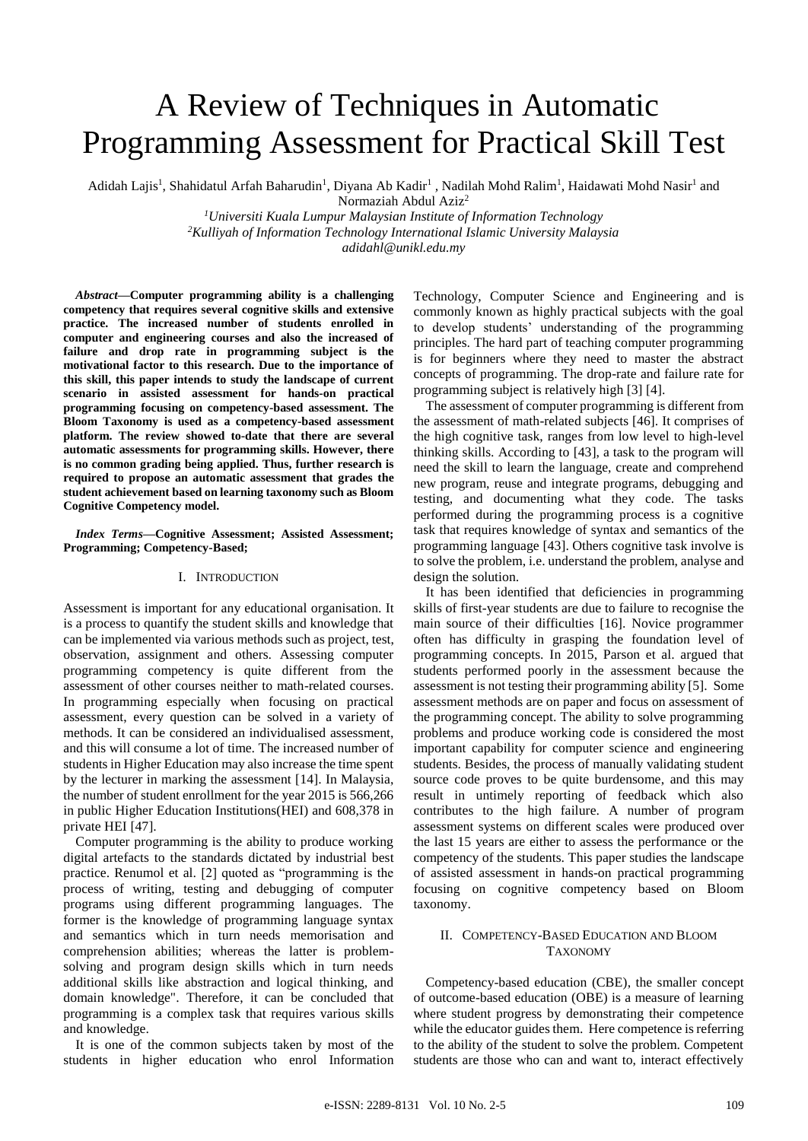# A Review of Techniques in Automatic Programming Assessment for Practical Skill Test

Adidah Lajis<sup>1</sup>, Shahidatul Arfah Baharudin<sup>1</sup>, Diyana Ab Kadir<sup>1</sup>, Nadilah Mohd Ralim<sup>1</sup>, Haidawati Mohd Nasir<sup>1</sup> and

Normaziah Abdul Aziz<sup>2</sup>

*<sup>1</sup>Universiti Kuala Lumpur Malaysian Institute of Information Technology <sup>2</sup>Kulliyah of Information Technology International Islamic University Malaysia adidahl@unikl.edu.my*

*Abstract***—Computer programming ability is a challenging competency that requires several cognitive skills and extensive practice. The increased number of students enrolled in computer and engineering courses and also the increased of failure and drop rate in programming subject is the motivational factor to this research. Due to the importance of this skill, this paper intends to study the landscape of current scenario in assisted assessment for hands-on practical programming focusing on competency-based assessment. The Bloom Taxonomy is used as a competency-based assessment platform. The review showed to-date that there are several automatic assessments for programming skills. However, there is no common grading being applied. Thus, further research is required to propose an automatic assessment that grades the student achievement based on learning taxonomy such as Bloom Cognitive Competency model.**

## *Index Terms***—Cognitive Assessment; Assisted Assessment; Programming; Competency-Based;**

## I. INTRODUCTION

Assessment is important for any educational organisation. It is a process to quantify the student skills and knowledge that can be implemented via various methods such as project, test, observation, assignment and others. Assessing computer programming competency is quite different from the assessment of other courses neither to math-related courses. In programming especially when focusing on practical assessment, every question can be solved in a variety of methods. It can be considered an individualised assessment, and this will consume a lot of time. The increased number of students in Higher Education may also increase the time spent by the lecturer in marking the assessment [14]. In Malaysia, the number of student enrollment for the year 2015 is 566,266 in public Higher Education Institutions(HEI) and 608,378 in private HEI [47].

Computer programming is the ability to produce working digital artefacts to the standards dictated by industrial best practice. Renumol et al. [2] quoted as "programming is the process of writing, testing and debugging of computer programs using different programming languages. The former is the knowledge of programming language syntax and semantics which in turn needs memorisation and comprehension abilities; whereas the latter is problemsolving and program design skills which in turn needs additional skills like abstraction and logical thinking, and domain knowledge". Therefore, it can be concluded that programming is a complex task that requires various skills and knowledge.

It is one of the common subjects taken by most of the students in higher education who enrol Information Technology, Computer Science and Engineering and is commonly known as highly practical subjects with the goal to develop students' understanding of the programming principles. The hard part of teaching computer programming is for beginners where they need to master the abstract concepts of programming. The drop-rate and failure rate for programming subject is relatively high [3] [4].

The assessment of computer programming is different from the assessment of math-related subjects [46]. It comprises of the high cognitive task, ranges from low level to high-level thinking skills. According to [43], a task to the program will need the skill to learn the language, create and comprehend new program, reuse and integrate programs, debugging and testing, and documenting what they code. The tasks performed during the programming process is a cognitive task that requires knowledge of syntax and semantics of the programming language [43]. Others cognitive task involve is to solve the problem, i.e. understand the problem, analyse and design the solution.

It has been identified that deficiencies in programming skills of first-year students are due to failure to recognise the main source of their difficulties [16]. Novice programmer often has difficulty in grasping the foundation level of programming concepts. In 2015, Parson et al. argued that students performed poorly in the assessment because the assessment is not testing their programming ability [5]. Some assessment methods are on paper and focus on assessment of the programming concept. The ability to solve programming problems and produce working code is considered the most important capability for computer science and engineering students. Besides, the process of manually validating student source code proves to be quite burdensome, and this may result in untimely reporting of feedback which also contributes to the high failure. A number of program assessment systems on different scales were produced over the last 15 years are either to assess the performance or the competency of the students. This paper studies the landscape of assisted assessment in hands-on practical programming focusing on cognitive competency based on Bloom taxonomy.

## II. COMPETENCY-BASED EDUCATION AND BLOOM TAXONOMY

Competency-based education (CBE), the smaller concept of outcome-based education (OBE) is a measure of learning where student progress by demonstrating their competence while the educator guides them. Here competence is referring to the ability of the student to solve the problem. Competent students are those who can and want to, interact effectively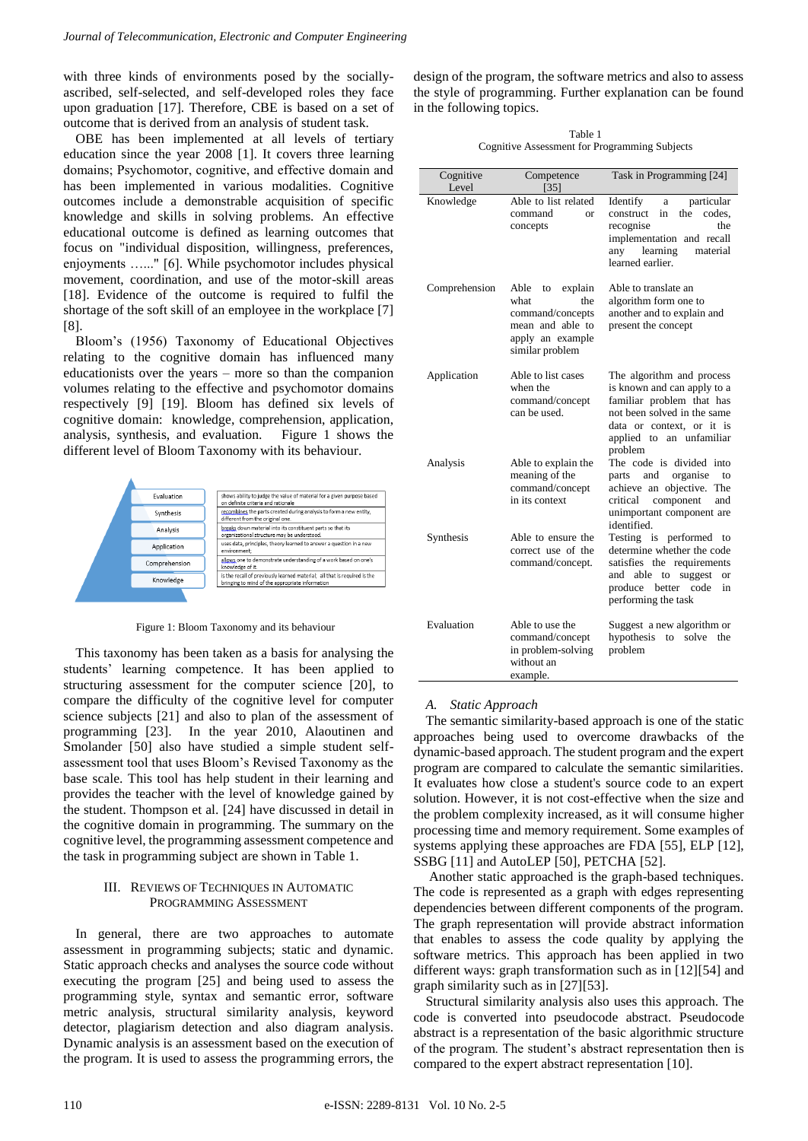with three kinds of environments posed by the sociallyascribed, self-selected, and self-developed roles they face upon graduation [17]. Therefore, CBE is based on a set of outcome that is derived from an analysis of student task.

OBE has been implemented at all levels of tertiary education since the year 2008 [1]. It covers three learning domains; Psychomotor, cognitive, and effective domain and has been implemented in various modalities. Cognitive outcomes include a demonstrable acquisition of specific knowledge and skills in solving problems. An effective educational outcome is defined as learning outcomes that focus on "individual disposition, willingness, preferences, enjoyments …..." [6]. While psychomotor includes physical movement, coordination, and use of the motor-skill areas [18]. Evidence of the outcome is required to fulfil the shortage of the soft skill of an employee in the workplace [7] [8].

Bloom's (1956) Taxonomy of Educational Objectives relating to the cognitive domain has influenced many educationists over the years – more so than the companion volumes relating to the effective and psychomotor domains respectively [9] [19]. Bloom has defined six levels of cognitive domain: knowledge, comprehension, application, analysis, synthesis, and evaluation. Figure 1 shows the different level of Bloom Taxonomy with its behaviour.



Figure 1: Bloom Taxonomy and its behaviour

This taxonomy has been taken as a basis for analysing the students' learning competence. It has been applied to structuring assessment for the computer science [20], to compare the difficulty of the cognitive level for computer science subjects [21] and also to plan of the assessment of programming [23]. In the year 2010, Alaoutinen and Smolander [50] also have studied a simple student selfassessment tool that uses Bloom's Revised Taxonomy as the base scale. This tool has help student in their learning and provides the teacher with the level of knowledge gained by the student. Thompson et al. [24] have discussed in detail in the cognitive domain in programming. The summary on the cognitive level, the programming assessment competence and the task in programming subject are shown in Table 1.

## III. REVIEWS OF TECHNIQUES IN AUTOMATIC PROGRAMMING ASSESSMENT

In general, there are two approaches to automate assessment in programming subjects; static and dynamic. Static approach checks and analyses the source code without executing the program [25] and being used to assess the programming style, syntax and semantic error, software metric analysis, structural similarity analysis, keyword detector, plagiarism detection and also diagram analysis. Dynamic analysis is an assessment based on the execution of the program. It is used to assess the programming errors, the design of the program, the software metrics and also to assess the style of programming. Further explanation can be found in the following topics.

Table 1 Cognitive Assessment for Programming Subjects

| Cognitive<br>Level | Competence<br>[35]                                                                                                  | Task in Programming [24]                                                                                                                                                                 |
|--------------------|---------------------------------------------------------------------------------------------------------------------|------------------------------------------------------------------------------------------------------------------------------------------------------------------------------------------|
| Knowledge          | Able to list related<br>command<br><b>or</b><br>concepts                                                            | Identify<br>particular<br>a<br>construct<br>the<br>codes.<br>in<br>recognise<br>the<br>implementation and recall<br>learning<br>material<br>anv<br>learned earlier.                      |
| Comprehension      | Able<br>explain<br>to<br>the<br>what<br>command/concepts<br>mean and able to<br>apply an example<br>similar problem | Able to translate an<br>algorithm form one to<br>another and to explain and<br>present the concept                                                                                       |
| Application        | Able to list cases<br>when the<br>command/concept<br>can be used.                                                   | The algorithm and process<br>is known and can apply to a<br>familiar problem that has<br>not been solved in the same<br>data or context, or it is<br>applied to an unfamiliar<br>problem |
| Analysis           | Able to explain the<br>meaning of the<br>command/concept<br>in its context                                          | The code is divided into<br>and organise<br>parts<br>to<br>achieve an objective. The<br>component<br>critical<br>and<br>unimportant component are<br>identified.                         |
| Synthesis          | Able to ensure the<br>correct use of the<br>command/concept.                                                        | Testing is performed<br>to<br>determine whether the code<br>satisfies the requirements<br>and able<br>to suggest<br>$\alpha$ r<br>produce<br>better code<br>in<br>performing the task    |
| Evaluation         | Able to use the<br>command/concept<br>in problem-solving<br>without an<br>example.                                  | Suggest a new algorithm or<br>hypothesis<br>to solve<br>the<br>problem                                                                                                                   |

#### *A. Static Approach*

The semantic similarity-based approach is one of the static approaches being used to overcome drawbacks of the dynamic-based approach. The student program and the expert program are compared to calculate the semantic similarities. It evaluates how close a student's source code to an expert solution. However, it is not cost-effective when the size and the problem complexity increased, as it will consume higher processing time and memory requirement. Some examples of systems applying these approaches are FDA [55], ELP [12], SSBG [11] and AutoLEP [50], PETCHA [52].

Another static approached is the graph-based techniques. The code is represented as a graph with edges representing dependencies between different components of the program. The graph representation will provide abstract information that enables to assess the code quality by applying the software metrics. This approach has been applied in two different ways: graph transformation such as in [12][54] and graph similarity such as in [27][53].

Structural similarity analysis also uses this approach. The code is converted into pseudocode abstract. Pseudocode abstract is a representation of the basic algorithmic structure of the program. The student's abstract representation then is compared to the expert abstract representation [10].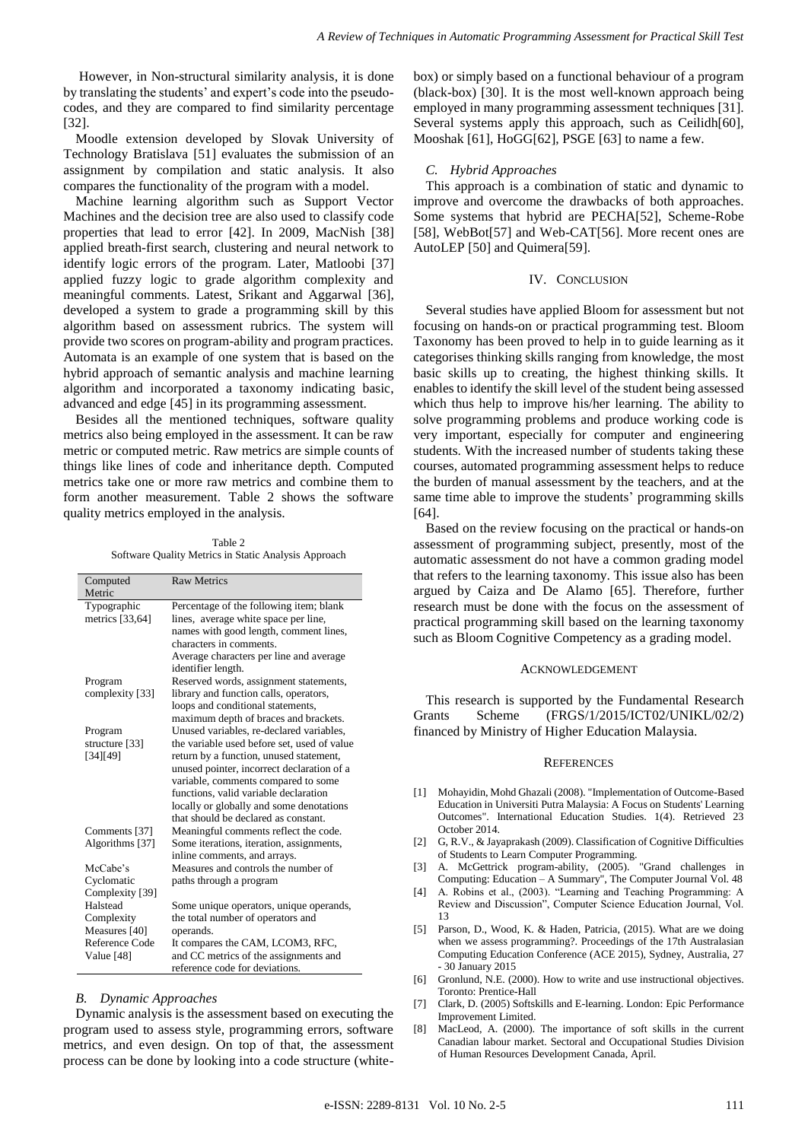However, in Non-structural similarity analysis, it is done by translating the students' and expert's code into the pseudocodes, and they are compared to find similarity percentage [32].

Moodle extension developed by Slovak University of Technology Bratislava [51] evaluates the submission of an assignment by compilation and static analysis. It also compares the functionality of the program with a model.

Machine learning algorithm such as Support Vector Machines and the decision tree are also used to classify code properties that lead to error [42]. In 2009, MacNish [38] applied breath-first search, clustering and neural network to identify logic errors of the program. Later, Matloobi [37] applied fuzzy logic to grade algorithm complexity and meaningful comments. Latest, Srikant and Aggarwal [36], developed a system to grade a programming skill by this algorithm based on assessment rubrics. The system will provide two scores on program-ability and program practices. Automata is an example of one system that is based on the hybrid approach of semantic analysis and machine learning algorithm and incorporated a taxonomy indicating basic, advanced and edge [45] in its programming assessment.

Besides all the mentioned techniques, software quality metrics also being employed in the assessment. It can be raw metric or computed metric. Raw metrics are simple counts of things like lines of code and inheritance depth. Computed metrics take one or more raw metrics and combine them to form another measurement. Table 2 shows the software quality metrics employed in the analysis.

Table 2 Software Quality Metrics in Static Analysis Approach

| Computed<br>Metric       | <b>Raw Metrics</b>                                            |  |
|--------------------------|---------------------------------------------------------------|--|
| Typographic              | Percentage of the following item; blank                       |  |
| metrics [33,64]          | lines, average white space per line,                          |  |
|                          | names with good length, comment lines,                        |  |
|                          | characters in comments.                                       |  |
|                          | Average characters per line and average<br>identifier length. |  |
| Program                  | Reserved words, assignment statements,                        |  |
| complexity [33]          | library and function calls, operators,                        |  |
|                          | loops and conditional statements,                             |  |
|                          | maximum depth of braces and brackets.                         |  |
| Program                  | Unused variables, re-declared variables,                      |  |
| structure [33]           | the variable used before set, used of value                   |  |
| [34][49]                 | return by a function, unused statement,                       |  |
|                          | unused pointer, incorrect declaration of a                    |  |
|                          | variable, comments compared to some                           |  |
|                          | functions, valid variable declaration                         |  |
|                          | locally or globally and some denotations                      |  |
|                          | that should be declared as constant.                          |  |
| Comments <sup>[37]</sup> | Meaningful comments reflect the code.                         |  |
| Algorithms [37]          | Some iterations, iteration, assignments,                      |  |
|                          | inline comments, and arrays.                                  |  |
| McCabe's                 | Measures and controls the number of                           |  |
| Cyclomatic               | paths through a program                                       |  |
| Complexity [39]          |                                                               |  |
| Halstead                 | Some unique operators, unique operands,                       |  |
| Complexity               | the total number of operators and                             |  |
| Measures [40]            | operands.                                                     |  |
| Reference Code           | It compares the CAM, LCOM3, RFC,                              |  |
| Value [48]               | and CC metrics of the assignments and                         |  |
|                          | reference code for deviations.                                |  |

#### *B. Dynamic Approaches*

Dynamic analysis is the assessment based on executing the program used to assess style, programming errors, software metrics, and even design. On top of that, the assessment process can be done by looking into a code structure (white-

box) or simply based on a functional behaviour of a program (black-box) [30]. It is the most well-known approach being employed in many programming assessment techniques [31]. Several systems apply this approach, such as Ceilidh[60], Mooshak [61], HoGG[62], PSGE [63] to name a few.

## *C. Hybrid Approaches*

This approach is a combination of static and dynamic to improve and overcome the drawbacks of both approaches. Some systems that hybrid are PECHA[52], Scheme-Robe [58], WebBot[57] and Web-CAT[56]. More recent ones are AutoLEP [50] and Quimera[59].

### IV. CONCLUSION

Several studies have applied Bloom for assessment but not focusing on hands-on or practical programming test. Bloom Taxonomy has been proved to help in to guide learning as it categorises thinking skills ranging from knowledge, the most basic skills up to creating, the highest thinking skills. It enables to identify the skill level of the student being assessed which thus help to improve his/her learning. The ability to solve programming problems and produce working code is very important, especially for computer and engineering students. With the increased number of students taking these courses, automated programming assessment helps to reduce the burden of manual assessment by the teachers, and at the same time able to improve the students' programming skills [64].

Based on the review focusing on the practical or hands-on assessment of programming subject, presently, most of the automatic assessment do not have a common grading model that refers to the learning taxonomy. This issue also has been argued by Caiza and De Alamo [65]. Therefore, further research must be done with the focus on the assessment of practical programming skill based on the learning taxonomy such as Bloom Cognitive Competency as a grading model.

#### ACKNOWLEDGEMENT

This research is supported by the Fundamental Research Grants Scheme (FRGS/1/2015/ICT02/UNIKL/02/2) financed by Ministry of Higher Education Malaysia.

#### **REFERENCES**

- [1] Mohayidin, Mohd Ghazali (2008). "Implementation of Outcome-Based Education in Universiti Putra Malaysia: A Focus on Students' Learning Outcomes". International Education Studies. 1(4). Retrieved 23 October 2014.
- [2] G, R.V., & Jayaprakash (2009). Classification of Cognitive Difficulties of Students to Learn Computer Programming.<br>A. McGettrick program-ability, (2005). "Grand challenges in
- [3] A. McGettrick program-ability, (2005). Computing: Education – A Summary", The Computer Journal Vol. 48
- [4] A. Robins et al., (2003). "Learning and Teaching Programming: A Review and Discussion", Computer Science Education Journal, Vol. 13
- [5] Parson, D., Wood, K. & Haden, Patricia, (2015). What are we doing when we assess programming?. Proceedings of the 17th Australasian Computing Education Conference (ACE 2015), Sydney, Australia, 27 - 30 January 2015
- [6] Gronlund, N.E. (2000). How to write and use instructional objectives. Toronto: Prentice-Hall
- [7] Clark, D. (2005) Softskills and E-learning. London: Epic Performance Improvement Limited.
- [8] MacLeod, A. (2000). The importance of soft skills in the current Canadian labour market. Sectoral and Occupational Studies Division of Human Resources Development Canada, April.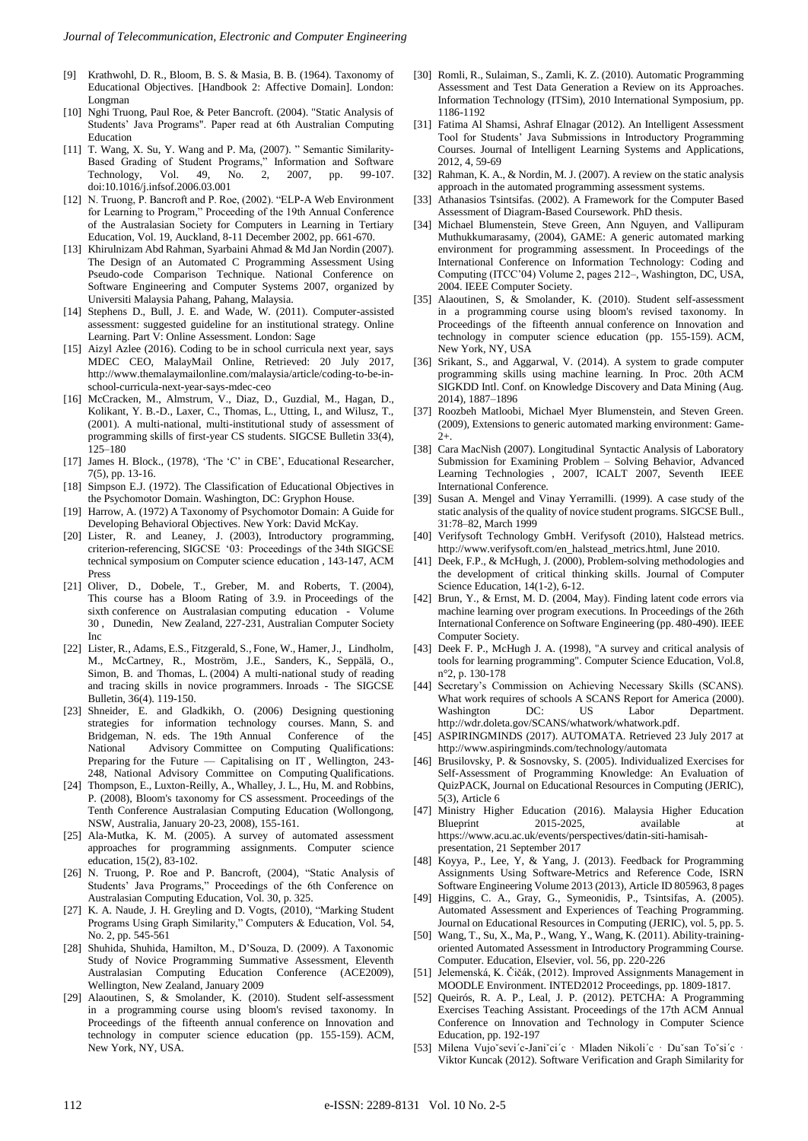- [9] Krathwohl, D. R., Bloom, B. S. & Masia, B. B. (1964). Taxonomy of Educational Objectives. [Handbook 2: Affective Domain]. London: Longman
- [10] Nghi Truong, Paul Roe, & Peter Bancroft. (2004). "Static Analysis of Students' Java Programs". Paper read at 6th Australian Computing Education
- [11] T. Wang, X. Su, Y. Wang and P. Ma, (2007). " Semantic Similarity-Based Grading of Student Programs," Information and Software Technology, Vol. 49, No. 2, 2007, pp. 99-107. doi:10.1016/j.infsof.2006.03.001
- [12] N. Truong, P. Bancroft and P. Roe, (2002). "ELP-A Web Environment for Learning to Program," Proceeding of the 19th Annual Conference of the Australasian Society for Computers in Learning in Tertiary Education, Vol. 19, Auckland, 8-11 December 2002, pp. 661-670.
- [13] Khirulnizam Abd Rahman, Syarbaini Ahmad & Md Jan Nordin (2007). The Design of an Automated C Programming Assessment Using Pseudo-code Comparison Technique. National Conference on Software Engineering and Computer Systems 2007, organized by Universiti Malaysia Pahang, Pahang, Malaysia.
- [14] Stephens D., Bull, J. E. and Wade, W. (2011). Computer-assisted assessment: suggested guideline for an institutional strategy. Online Learning. Part V: Online Assessment. London: Sage
- [15] Aizyl Azlee (2016). Coding to be in school curricula next year, says MDEC CEO, MalayMail Online, Retrieved: 20 July 2017, http://www.themalaymailonline.com/malaysia/article/coding-to-be-inschool-curricula-next-year-says-mdec-ceo
- [16] McCracken, M., Almstrum, V., Diaz, D., Guzdial, M., Hagan, D., Kolikant, Y. B.-D., Laxer, C., Thomas, L., Utting, I., and Wilusz, T., (2001). A multi-national, multi-institutional study of assessment of programming skills of first-year CS students. SIGCSE Bulletin 33(4), 125–180
- [17] James H. Block., (1978), 'The 'C' in CBE', Educational Researcher, 7(5), pp. 13-16.
- [18] Simpson E.J. (1972). The Classification of Educational Objectives in the Psychomotor Domain. Washington, DC: Gryphon House.
- [19] Harrow, A. (1972) A Taxonomy of Psychomotor Domain: A Guide for Developing Behavioral Objectives. New York: David McKay.
- [20] Lister, R. and Leaney, J. (2003), Introductory programming, criterion-referencing, SIGCSE '03: Proceedings of the 34th SIGCSE technical symposium on Computer science education , 143-147, ACM Press
- [21] Oliver, D., Dobele, T., Greber, M. and Roberts, T. (2004), This course has a Bloom Rating of 3.9. in Proceedings of the sixth conference on Australasian computing education - Volume 30 , Dunedin, New Zealand, 227-231, Australian Computer Society Inc
- [22] Lister, R., Adams, E.S., Fitzgerald, S., Fone, W., Hamer, J., Lindholm, M., McCartney, R., Moström, J.E., Sanders, K., Seppälä, O., Simon, B. and Thomas, L. (2004) A multi-national study of reading and tracing skills in novice programmers. Inroads - The SIGCSE Bulletin, 36(4). 119-150.
- [23] Shneider, E. and Gladkikh, O. (2006) Designing questioning strategies for information technology courses. Mann, S. and Bridgeman, N. eds. The 19th Annual Conference of the National Advisory Committee on Computing Qualifications: Preparing for the Future — Capitalising on IT, Wellington, 243-248, National Advisory Committee on Computing Qualifications.
- [24] Thompson, E., Luxton-Reilly, A., Whalley, J. L., Hu, M. and Robbins, P. (2008), Bloom's taxonomy for CS assessment. Proceedings of the Tenth Conference Australasian Computing Education (Wollongong, NSW, Australia, January 20-23, 2008), 155-161.
- [25] Ala-Mutka, K. M. (2005). A survey of automated assessment approaches for programming assignments. Computer science education, 15(2), 83-102.
- [26] N. Truong, P. Roe and P. Bancroft, (2004), "Static Analysis of Students' Java Programs," Proceedings of the 6th Conference on Australasian Computing Education, Vol. 30, p. 325.
- [27] K. A. Naude, J. H. Greyling and D. Vogts, (2010), "Marking Student Programs Using Graph Similarity," Computers & Education, Vol. 54, No. 2, pp. 545-561
- [28] Shuhida, Shuhida, Hamilton, M., D'Souza, D. (2009). A Taxonomic Study of Novice Programming Summative Assessment, Eleventh Australasian Computing Education Conference (ACE2009), Wellington, New Zealand, January 2009
- [29] Alaoutinen, S, & Smolander, K. (2010). Student self-assessment in a programming course using bloom's revised taxonomy. In Proceedings of the fifteenth annual conference on Innovation and technology in computer science education (pp. 155-159). ACM, New York, NY, USA.
- [30] Romli, R., Sulaiman, S., Zamli, K. Z. (2010). Automatic Programming Assessment and Test Data Generation a Review on its Approaches. Information Technology (ITSim), 2010 International Symposium, pp. 1186-1192
- [31] Fatima Al Shamsi, Ashraf Elnagar (2012). An Intelligent Assessment Tool for Students' Java Submissions in Introductory Programming Courses. Journal of Intelligent Learning Systems and Applications, 2012, 4, 59-69
- [32] Rahman, K. A., & Nordin, M. J. (2007). A review on the static analysis approach in the automated programming assessment systems.
- [33] Athanasios Tsintsifas. (2002). A Framework for the Computer Based Assessment of Diagram-Based Coursework. PhD thesis.
- [34] Michael Blumenstein, Steve Green, Ann Nguyen, and Vallipuram Muthukkumarasamy, (2004), GAME: A generic automated marking environment for programming assessment. In Proceedings of the International Conference on Information Technology: Coding and Computing (ITCC'04) Volume 2, pages 212–, Washington, DC, USA, 2004. IEEE Computer Society.
- [35] Alaoutinen, S, & Smolander, K. (2010). Student self-assessment in a programming course using bloom's revised taxonomy. In Proceedings of the fifteenth annual conference on Innovation and technology in computer science education (pp. 155-159). ACM, New York, NY, USA
- [36] Srikant, S., and Aggarwal, V. (2014). A system to grade computer programming skills using machine learning. In Proc. 20th ACM SIGKDD Intl. Conf. on Knowledge Discovery and Data Mining (Aug. 2014), 1887–1896
- [37] Roozbeh Matloobi, Michael Myer Blumenstein, and Steven Green. (2009), Extensions to generic automated marking environment: Game-2+.
- [38] Cara MacNish (2007). Longitudinal Syntactic Analysis of Laboratory Submission for Examining Problem – Solving Behavior, Advanced Learning Technologies , 2007, ICALT 2007, Seventh IEEE International Conference.
- [39] Susan A. Mengel and Vinay Yerramilli. (1999). A case study of the static analysis of the quality of novice student programs. SIGCSE Bull., 31:78–82, March 1999
- [40] Verifysoft Technology GmbH. Verifysoft (2010), Halstead metrics. http://www.verifysoft.com/en\_halstead\_metrics.html, June 2010.
- [41] Deek, F.P., & McHugh, J. (2000), Problem-solving methodologies and the development of critical thinking skills. Journal of Computer Science Education, 14(1-2), 6-12.
- [42] Brun, Y., & Ernst, M. D. (2004, May). Finding latent code errors via machine learning over program executions. In Proceedings of the 26th International Conference on Software Engineering (pp. 480-490). IEEE Computer Society.
- [43] Deek F. P., McHugh J. A. (1998), "A survey and critical analysis of tools for learning programming". Computer Science Education, Vol.8, n°2, p. 130-178
- [44] Secretary's Commission on Achieving Necessary Skills (SCANS). What work requires of schools A SCANS Report for America (2000).<br>Washington DC: US Labor Department. Washington DC: US Labor Department. http://wdr.doleta.gov/SCANS/whatwork/whatwork.pdf.
- [45] ASPIRINGMINDS (2017). AUTOMATA. Retrieved 23 July 2017 at http://www.aspiringminds.com/technology/automata
- [46] Brusilovsky, P. & Sosnovsky, S. (2005). Individualized Exercises for Self-Assessment of Programming Knowledge: An Evaluation of QuizPACK, Journal on Educational Resources in Computing (JERIC), 5(3), Article 6
- [47] Ministry Higher Education (2016). Malaysia Higher Education Blueprint 2015-2025, available at https://www.acu.ac.uk/events/perspectives/datin-siti-hamisahpresentation, 21 September 2017
- [48] Koyya, P., Lee, Y, & Yang, J. (2013). Feedback for Programming Assignments Using Software-Metrics and Reference Code, ISRN Software Engineering Volume 2013 (2013), Article ID 805963, 8 pages
- [49] Higgins, C. A., Gray, G., Symeonidis, P., Tsintsifas, A. (2005). Automated Assessment and Experiences of Teaching Programming. Journal on Educational Resources in Computing (JERIC), vol. 5, pp. 5.
- [50] Wang, T., Su, X., Ma, P., Wang, Y., Wang, K. (2011). Ability-trainingoriented Automated Assessment in Introductory Programming Course. Computer. Education, Elsevier, vol. 56, pp. 220-226
- [51] Jelemenská, K. Čičák, (2012). Improved Assignments Management in MOODLE Environment. INTED2012 Proceedings, pp. 1809-1817.
- [52] Queirós, R. A. P., Leal, J. P. (2012). PETCHA: A Programming Exercises Teaching Assistant. Proceedings of the 17th ACM Annual Conference on Innovation and Technology in Computer Science Education, pp. 192-197
- [53] Milena Vujoˇsevi´c-Janiˇci´c · Mladen Nikoli´c · Duˇsan Toˇsi´c · Viktor Kuncak (2012). Software Verification and Graph Similarity for